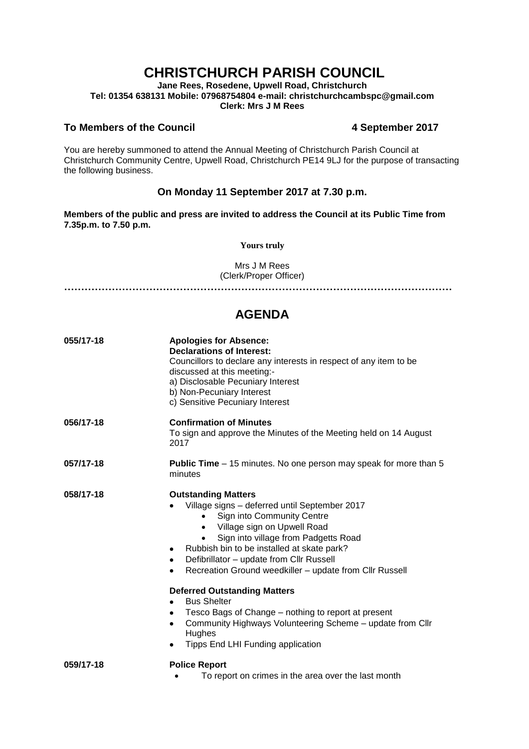# **CHRISTCHURCH PARISH COUNCIL**

**Jane Rees, Rosedene, Upwell Road, Christchurch Tel: 01354 638131 Mobile: 07968754804 e-mail: christchurchcambspc@gmail.com Clerk: Mrs J M Rees**

### **To Members of the Council 4 September 2017**

You are hereby summoned to attend the Annual Meeting of Christchurch Parish Council at Christchurch Community Centre, Upwell Road, Christchurch PE14 9LJ for the purpose of transacting the following business.

## **On Monday 11 September 2017 at 7.30 p.m.**

**Members of the public and press are invited to address the Council at its Public Time from 7.35p.m. to 7.50 p.m.** 

**Yours truly**

Mrs J M Rees (Clerk/Proper Officer)

**……………………………………………………………………………………………………**

## **AGENDA**

| 055/17-18 | <b>Apologies for Absence:</b><br><b>Declarations of Interest:</b><br>Councillors to declare any interests in respect of any item to be<br>discussed at this meeting:-<br>a) Disclosable Pecuniary Interest<br>b) Non-Pecuniary Interest<br>c) Sensitive Pecuniary Interest                                                                                                                                                                                                                                                                                                                  |
|-----------|---------------------------------------------------------------------------------------------------------------------------------------------------------------------------------------------------------------------------------------------------------------------------------------------------------------------------------------------------------------------------------------------------------------------------------------------------------------------------------------------------------------------------------------------------------------------------------------------|
| 056/17-18 | <b>Confirmation of Minutes</b><br>To sign and approve the Minutes of the Meeting held on 14 August<br>2017                                                                                                                                                                                                                                                                                                                                                                                                                                                                                  |
| 057/17-18 | <b>Public Time</b> – 15 minutes. No one person may speak for more than 5<br>minutes                                                                                                                                                                                                                                                                                                                                                                                                                                                                                                         |
| 058/17-18 | <b>Outstanding Matters</b><br>Village signs - deferred until September 2017<br>Sign into Community Centre<br>Village sign on Upwell Road<br>Sign into village from Padgetts Road<br>$\bullet$<br>Rubbish bin to be installed at skate park?<br>٠<br>Defibrillator - update from Cllr Russell<br>٠<br>Recreation Ground weedkiller - update from Cllr Russell<br>$\bullet$<br><b>Deferred Outstanding Matters</b><br><b>Bus Shelter</b><br>$\bullet$<br>Tesco Bags of Change – nothing to report at present<br>٠<br>Community Highways Volunteering Scheme – update from Cllr<br>٠<br>Hughes |
|           | Tipps End LHI Funding application<br>٠                                                                                                                                                                                                                                                                                                                                                                                                                                                                                                                                                      |
| 059/17-18 | <b>Police Report</b><br>To report on crimes in the area over the last month                                                                                                                                                                                                                                                                                                                                                                                                                                                                                                                 |